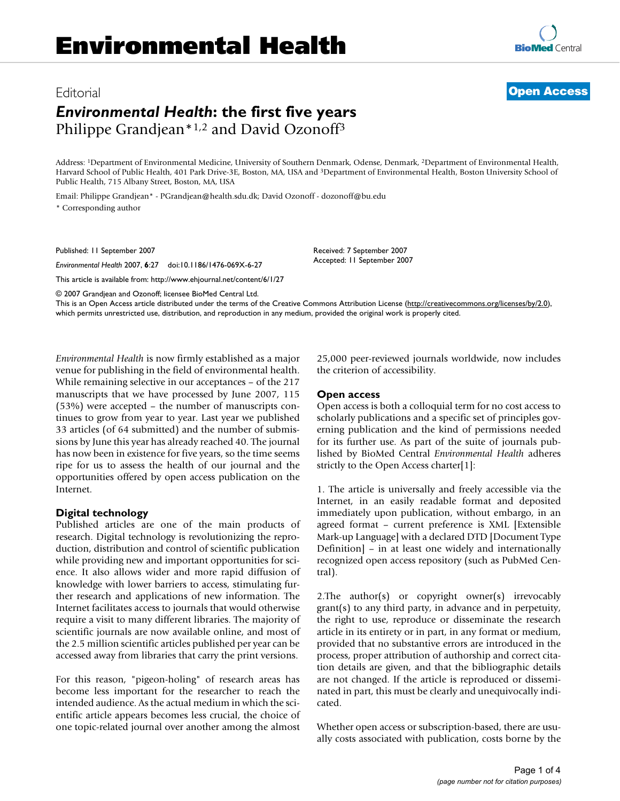# Editorial **[Open Access](http://www.biomedcentral.com/info/about/charter/)** *Environmental Health***: the first five years** Philippe Grandjean\*<sup>1,2</sup> and David Ozonoff<sup>3</sup>

Address: 1Department of Environmental Medicine, University of Southern Denmark, Odense, Denmark, 2Department of Environmental Health, Harvard School of Public Health, 401 Park Drive-3E, Boston, MA, USA and 3Department of Environmental Health, Boston University School of Public Health, 715 Albany Street, Boston, MA, USA

Email: Philippe Grandjean\* - PGrandjean@health.sdu.dk; David Ozonoff - dozonoff@bu.edu

\* Corresponding author

Published: 11 September 2007

*Environmental Health* 2007, **6**:27 doi:10.1186/1476-069X-6-27

[This article is available from: http://www.ehjournal.net/content/6/1/27](http://www.ehjournal.net/content/6/1/27)

© 2007 Grandjean and Ozonoff; licensee BioMed Central Ltd.

This is an Open Access article distributed under the terms of the Creative Commons Attribution License [\(http://creativecommons.org/licenses/by/2.0\)](http://creativecommons.org/licenses/by/2.0), which permits unrestricted use, distribution, and reproduction in any medium, provided the original work is properly cited.

*Environmental Health* is now firmly established as a major venue for publishing in the field of environmental health. While remaining selective in our acceptances – of the 217 manuscripts that we have processed by June 2007, 115 (53%) were accepted – the number of manuscripts continues to grow from year to year. Last year we published 33 articles (of 64 submitted) and the number of submissions by June this year has already reached 40. The journal has now been in existence for five years, so the time seems ripe for us to assess the health of our journal and the opportunities offered by open access publication on the Internet.

#### **Digital technology**

Published articles are one of the main products of research. Digital technology is revolutionizing the reproduction, distribution and control of scientific publication while providing new and important opportunities for science. It also allows wider and more rapid diffusion of knowledge with lower barriers to access, stimulating further research and applications of new information. The Internet facilitates access to journals that would otherwise require a visit to many different libraries. The majority of scientific journals are now available online, and most of the 2.5 million scientific articles published per year can be accessed away from libraries that carry the print versions.

For this reason, "pigeon-holing" of research areas has become less important for the researcher to reach the intended audience. As the actual medium in which the scientific article appears becomes less crucial, the choice of one topic-related journal over another among the almost 25,000 peer-reviewed journals worldwide, now includes the criterion of accessibility.

#### **Open access**

Received: 7 September 2007 Accepted: 11 September 2007

Open access is both a colloquial term for no cost access to scholarly publications and a specific set of principles governing publication and the kind of permissions needed for its further use. As part of the suite of journals published by BioMed Central *Environmental Health* adheres strictly to the Open Access charter[1]:

1. The article is universally and freely accessible via the Internet, in an easily readable format and deposited immediately upon publication, without embargo, in an agreed format – current preference is XML [Extensible Mark-up Language] with a declared DTD [Document Type Definition] – in at least one widely and internationally recognized open access repository (such as PubMed Central).

2.The author(s) or copyright owner(s) irrevocably grant(s) to any third party, in advance and in perpetuity, the right to use, reproduce or disseminate the research article in its entirety or in part, in any format or medium, provided that no substantive errors are introduced in the process, proper attribution of authorship and correct citation details are given, and that the bibliographic details are not changed. If the article is reproduced or disseminated in part, this must be clearly and unequivocally indicated.

Whether open access or subscription-based, there are usually costs associated with publication, costs borne by the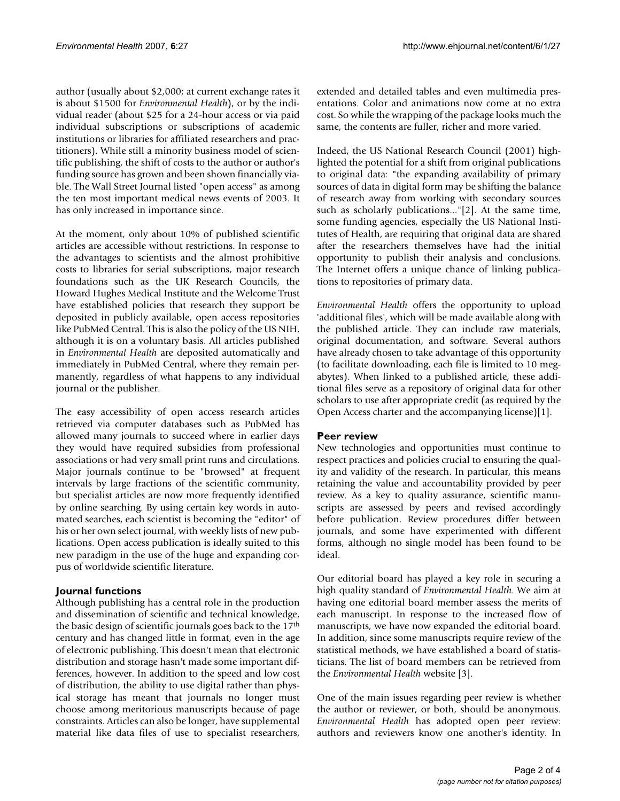author (usually about \$2,000; at current exchange rates it is about \$1500 for *Environmental Health*), or by the individual reader (about \$25 for a 24-hour access or via paid individual subscriptions or subscriptions of academic institutions or libraries for affiliated researchers and practitioners). While still a minority business model of scientific publishing, the shift of costs to the author or author's funding source has grown and been shown financially viable. The Wall Street Journal listed "open access" as among the ten most important medical news events of 2003. It has only increased in importance since.

At the moment, only about 10% of published scientific articles are accessible without restrictions. In response to the advantages to scientists and the almost prohibitive costs to libraries for serial subscriptions, major research foundations such as the UK Research Councils, the Howard Hughes Medical Institute and the Welcome Trust have established policies that research they support be deposited in publicly available, open access repositories like PubMed Central. This is also the policy of the US NIH, although it is on a voluntary basis. All articles published in *Environmental Health* are deposited automatically and immediately in PubMed Central, where they remain permanently, regardless of what happens to any individual journal or the publisher.

The easy accessibility of open access research articles retrieved via computer databases such as PubMed has allowed many journals to succeed where in earlier days they would have required subsidies from professional associations or had very small print runs and circulations. Major journals continue to be "browsed" at frequent intervals by large fractions of the scientific community, but specialist articles are now more frequently identified by online searching. By using certain key words in automated searches, each scientist is becoming the "editor" of his or her own select journal, with weekly lists of new publications. Open access publication is ideally suited to this new paradigm in the use of the huge and expanding corpus of worldwide scientific literature.

# **Journal functions**

Although publishing has a central role in the production and dissemination of scientific and technical knowledge, the basic design of scientific journals goes back to the 17th century and has changed little in format, even in the age of electronic publishing. This doesn't mean that electronic distribution and storage hasn't made some important differences, however. In addition to the speed and low cost of distribution, the ability to use digital rather than physical storage has meant that journals no longer must choose among meritorious manuscripts because of page constraints. Articles can also be longer, have supplemental material like data files of use to specialist researchers,

extended and detailed tables and even multimedia presentations. Color and animations now come at no extra cost. So while the wrapping of the package looks much the same, the contents are fuller, richer and more varied.

Indeed, the US National Research Council (2001) highlighted the potential for a shift from original publications to original data: "the expanding availability of primary sources of data in digital form may be shifting the balance of research away from working with secondary sources such as scholarly publications..."[2]. At the same time, some funding agencies, especially the US National Institutes of Health, are requiring that original data are shared after the researchers themselves have had the initial opportunity to publish their analysis and conclusions. The Internet offers a unique chance of linking publications to repositories of primary data.

*Environmental Health* offers the opportunity to upload 'additional files', which will be made available along with the published article. They can include raw materials, original documentation, and software. Several authors have already chosen to take advantage of this opportunity (to facilitate downloading, each file is limited to 10 megabytes). When linked to a published article, these additional files serve as a repository of original data for other scholars to use after appropriate credit (as required by the Open Access charter and the accompanying license)[1].

#### **Peer review**

New technologies and opportunities must continue to respect practices and policies crucial to ensuring the quality and validity of the research. In particular, this means retaining the value and accountability provided by peer review. As a key to quality assurance, scientific manuscripts are assessed by peers and revised accordingly before publication. Review procedures differ between journals, and some have experimented with different forms, although no single model has been found to be ideal.

Our editorial board has played a key role in securing a high quality standard of *Environmental Health*. We aim at having one editorial board member assess the merits of each manuscript. In response to the increased flow of manuscripts, we have now expanded the editorial board. In addition, since some manuscripts require review of the statistical methods, we have established a board of statisticians. The list of board members can be retrieved from the *Environmental Health* website [3].

One of the main issues regarding peer review is whether the author or reviewer, or both, should be anonymous. *Environmental Health* has adopted open peer review: authors and reviewers know one another's identity. In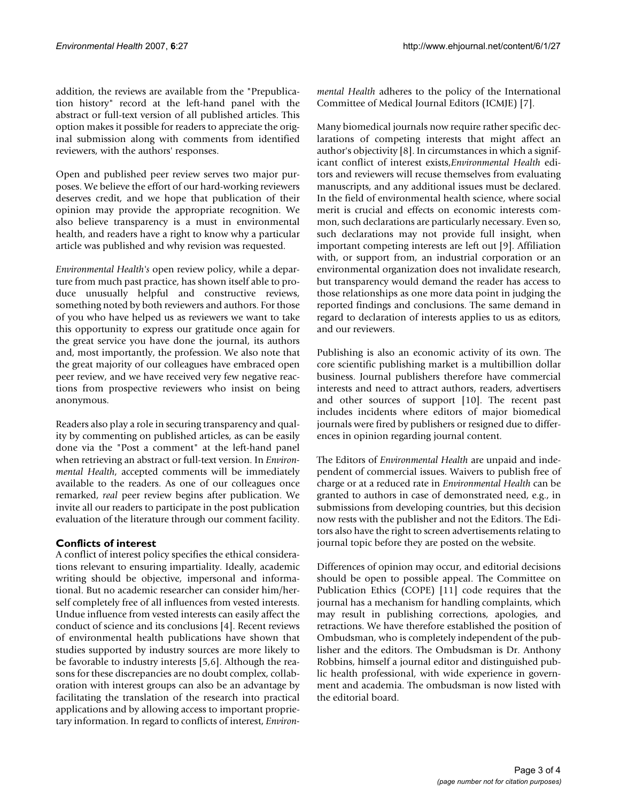addition, the reviews are available from the "Prepublication history" record at the left-hand panel with the abstract or full-text version of all published articles. This option makes it possible for readers to appreciate the original submission along with comments from identified reviewers, with the authors' responses.

Open and published peer review serves two major purposes. We believe the effort of our hard-working reviewers deserves credit, and we hope that publication of their opinion may provide the appropriate recognition. We also believe transparency is a must in environmental health, and readers have a right to know why a particular article was published and why revision was requested.

*Environmental Health's* open review policy, while a departure from much past practice, has shown itself able to produce unusually helpful and constructive reviews, something noted by both reviewers and authors. For those of you who have helped us as reviewers we want to take this opportunity to express our gratitude once again for the great service you have done the journal, its authors and, most importantly, the profession. We also note that the great majority of our colleagues have embraced open peer review, and we have received very few negative reactions from prospective reviewers who insist on being anonymous.

Readers also play a role in securing transparency and quality by commenting on published articles, as can be easily done via the "Post a comment" at the left-hand panel when retrieving an abstract or full-text version. In *Environmental Health*, accepted comments will be immediately available to the readers. As one of our colleagues once remarked, *real* peer review begins after publication. We invite all our readers to participate in the post publication evaluation of the literature through our comment facility.

# **Conflicts of interest**

A conflict of interest policy specifies the ethical considerations relevant to ensuring impartiality. Ideally, academic writing should be objective, impersonal and informational. But no academic researcher can consider him/herself completely free of all influences from vested interests. Undue influence from vested interests can easily affect the conduct of science and its conclusions [4]. Recent reviews of environmental health publications have shown that studies supported by industry sources are more likely to be favorable to industry interests [5,6]. Although the reasons for these discrepancies are no doubt complex, collaboration with interest groups can also be an advantage by facilitating the translation of the research into practical applications and by allowing access to important proprietary information. In regard to conflicts of interest, *Environ-* *mental Health* adheres to the policy of the International Committee of Medical Journal Editors (ICMJE) [7].

Many biomedical journals now require rather specific declarations of competing interests that might affect an author's objectivity [8]. In circumstances in which a significant conflict of interest exists,*Environmental Health* editors and reviewers will recuse themselves from evaluating manuscripts, and any additional issues must be declared. In the field of environmental health science, where social merit is crucial and effects on economic interests common, such declarations are particularly necessary. Even so, such declarations may not provide full insight, when important competing interests are left out [9]. Affiliation with, or support from, an industrial corporation or an environmental organization does not invalidate research, but transparency would demand the reader has access to those relationships as one more data point in judging the reported findings and conclusions. The same demand in regard to declaration of interests applies to us as editors, and our reviewers.

Publishing is also an economic activity of its own. The core scientific publishing market is a multibillion dollar business. Journal publishers therefore have commercial interests and need to attract authors, readers, advertisers and other sources of support [10]. The recent past includes incidents where editors of major biomedical journals were fired by publishers or resigned due to differences in opinion regarding journal content.

The Editors of *Environmental Health* are unpaid and independent of commercial issues. Waivers to publish free of charge or at a reduced rate in *Environmental Health* can be granted to authors in case of demonstrated need, e.g., in submissions from developing countries, but this decision now rests with the publisher and not the Editors. The Editors also have the right to screen advertisements relating to journal topic before they are posted on the website.

Differences of opinion may occur, and editorial decisions should be open to possible appeal. The Committee on Publication Ethics (COPE) [11] code requires that the journal has a mechanism for handling complaints, which may result in publishing corrections, apologies, and retractions. We have therefore established the position of Ombudsman, who is completely independent of the publisher and the editors. The Ombudsman is Dr. Anthony Robbins, himself a journal editor and distinguished public health professional, with wide experience in government and academia. The ombudsman is now listed with the editorial board.